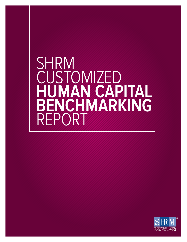# SHRM **CUSTOMIZED HUMAN CAPITAL BENCHMARKING** REPORT

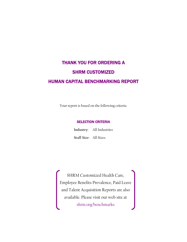# THANK YOU FOR ORDERING A SHRM CUSTOMIZED HUMAN CAPITAL BENCHMARKING REPORT

Your report is based on the following criteria:

#### SELECTION CRITERIA

**Industry:** All Industries **Staff Size:** All Sizes

SHRM Customized Health Care, Employee Benefits Prevalence, Paid Leave and Talent Acquisition Reports are also available. Please visit our web site at shrm.org/benchmarks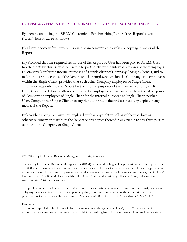#### **LICENSE AGREEMENT FOR THE SHRM CUSTOMIZED BENCHMARKING REPORT**

By opening and using this SHRM Customized Benchmarking Report (the "Report"), you ("User") hereby agree as follows:

(i) That the Society for Human Resource Management is the exclusive copyright owner of the Report.

(ii) Provided that the required fee for use of the Report by User has been paid to SHRM, User has the right, by this License, to use the Report solely for the internal purposes of their employer ("Company") or for the internal purposes of a single client of Company ("Single Client"), and to make or distribute copies of the Report to other employees within the Company or to employees within the Single Client, provided that such other Company employees or Single Client employees may only use the Report for the internal purposes of the Company or Single Client. Except as allowed above with respect to use by employees of Company for the internal purposes of Company or employees of Single Client for the internal purposes of Single Client, neither User, Company nor Single Client has any right to print, make or distribute any copies, in any media, of the Report.

(iii) Neither User, Company nor Single Client has any right to sell or sublicense, loan or otherwise convey or distribute the Report or any copies thereof in any media to any third parties outside of the Company or Single Client.

© 2017 Society for Human Resource Management. All rights reserved.

The Society for Human Resource Management (SHRM) is the world's largest HR professional society, representing 285,000 members in more than 165 countries. For nearly seven decades, the Society has been the leading provider of resources serving the needs of HR professionals and advancing the practice of human resource management. SHRM has more than 575 affiliated chapters within the United States and subsidiary offices in China, India and United Arab Emirates. Visit us at shrm.org.

This publication may not be reproduced, stored in a retrieval system or transmitted in whole or in part, in any form or by any means, electronic, mechanical, photocopying, recording or otherwise, without the prior written permission of the Society for Human Resource Management, 1800 Duke Street, Alexandria, VA 22314, USA.

#### **Disclaimer**

This report is published by the Society for Human Resource Management (SHRM). SHRM cannot accept responsibility for any errors or omissions or any liability resulting from the use or misuse of any such information.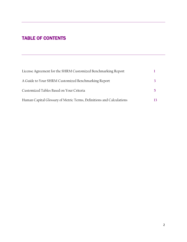# TABLE OF CONTENTS

| License Agreement for the SHRM Customized Benchmarking Report        |  |
|----------------------------------------------------------------------|--|
| A Guide to Your SHRM Customized Benchmarking Report                  |  |
| Customized Tables Based on Your Criteria                             |  |
| Human Capital Glossary of Metric Terms, Definitions and Calculations |  |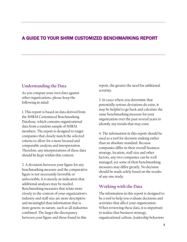# A GUIDE TO YOUR SHRM CUSTOMIZED BENCHMARKING REPORT

## **Understanding the Data**

As you compare your own data against other organizations, please keep the following in mind:

1. This report is based on data derived from the SHRM Customized Benchmarking Database, which contains organizational data from a random sample of SHRM members. The report is designed to target companies that closely match the selected criteria to allow for a more focused and comparable analysis and interpretation. Therefore, any interpretations of these data should be kept within this context.

2. A deviation between your figure for any benchmarking measure and the comparative figure is not necessarily favorable or unfavorable; it is merely an indication that additional analyses may be needed. Benchmarking measures that relate more closely to the context of your organization's industry and staff size are more descriptive and meaningful than information that is more generic in nature, such as all industries combined. The larger the discrepancy between your figure and those found in this

report, the greater the need for additional scrutiny.

3. In cases where you determine that potentially serious deviations do exist, it may be helpful to go back and calculate the same benchmarking measure for your organization over the past several years to identify any trends that may exist.

4. The information in this report should be used as a tool for decision-making rather than an absolute standard. Because companies differ in their overall business strategy, location, staff size and other factors, any two companies can be well managed, yet some of their benchmarking measures may differ greatly. No decision should be made solely based on the results of any one study.

## **Working with the Data**

The information in this report is designed to be a tool to help you evaluate decisions and activities that affect your organization. When reviewing these data, it is important to realize that business strategy, organizational culture, leadership behaviors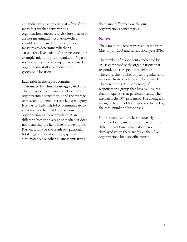and industry pressures are just a few of the many factors that drive various organizational measures. Absolute measures are not meaningful in isolation—they should be compared with one or more measures to determine whether a satisfactory level exists. Other measures, for example, might be your organization's past results in this area or comparatives based on organization staff size, industry or geographic location.

Each table in the report contains customized benchmarks in aggregated form. There may be discrepancies between your organization's benchmarks and the average or median numbers for a particular category. It is particularly helpful to communicate to stakeholders that just because your organization has benchmarks that are different from the average or median, it does not mean they are favorable or unfavorable. Rather, it may be the result of a particular total organizational strategy, special circumstances or other business initiatives

that cause differences with your organization's benchmarks.

#### **Notes**

The data in this report were collected from May to July 2017 and reflect fiscal year 2016.

The number of respondents, indicated by "n," is composed of the organizations that responded to the specific benchmark. Therefore, the number of peer organizations may vary from benchmark to benchmark. The percentile is the percentage of responses in a group that have values less than or equal to that particular value. The median is the 50th percentile. The average, or mean, is the sum of the responses divided by the total number of responses.

Some benchmarks are less frequently collected by organizations or may be more difficult to obtain. Some data are not displayed when there are fewer than five organizations for a specific metric.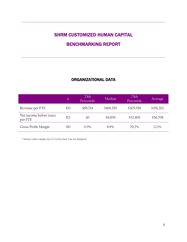# BENCHMARKING REPORT

## ORGANIZATIONAL DATA

|                                    | $\mathbf n$ | 25 <sub>th</sub><br>Percentile | Median    | 75th<br>Percentile | Average   |
|------------------------------------|-------------|--------------------------------|-----------|--------------------|-----------|
| Revenue per FTE                    | 413         | \$85,714                       | \$168,350 | \$305,556          | \$351,262 |
| Net income before taxes<br>per FTE | 312         | \$0                            | \$9,859   | \$52,806           | \$56,708  |
| Gross Profit Margin                | 310         | $0.0\%$                        | 8.8%      | 29.2%              | 12.1%     |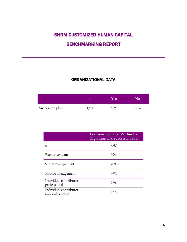# BENCHMARKING REPORT

# ORGANIZATIONAL DATA

|                 |       | Yes' | חמ  |
|-----------------|-------|------|-----|
| Succession plan | 1,560 | 43%  | 57% |

|                                            | Positions Included Within the<br>Organization's Succession Plan |
|--------------------------------------------|-----------------------------------------------------------------|
| n                                          | 647                                                             |
| Executive team                             | 79%                                                             |
| Senior management                          | 70%                                                             |
| Middle management                          | 47%                                                             |
| Individual contributor:<br>professional    | 27%                                                             |
| Individual contributor:<br>nonprofessional | 17%                                                             |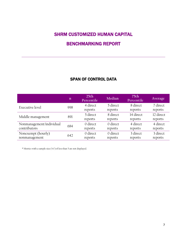# BENCHMARKING REPORT

## SPAN OF CONTROL DATA

|                                          | $\mathbf n$ | 25 <sub>th</sub><br>Percentile | Median              | 75 <sub>th</sub><br>Percentile | Average              |
|------------------------------------------|-------------|--------------------------------|---------------------|--------------------------------|----------------------|
| <b>Executive level</b>                   | 998         | 4 direct<br>reports            | 5 direct<br>reports | 8 direct<br>reports            | 7 direct<br>reports  |
| Middle management                        | 891         | 5 direct<br>reports            | 8 direct<br>reports | 14 direct<br>reports           | 12 direct<br>reports |
| Nonmanagement/individual<br>contributors | 684         | 0 direct<br>reports            | 0 direct<br>reports | 4 direct<br>reports            | 4 direct<br>reports  |
| Nonexempt (hourly)<br>nonmanagement      | 642         | 0 direct<br>reports            | 0 direct<br>reports | 3 direct<br>reports            | 3 direct<br>reports  |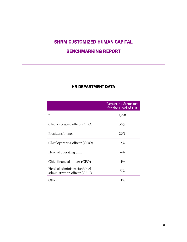# BENCHMARKING REPORT

# HR DEPARTMENT DATA

|                                                              | <b>Reporting Structure</b><br>for the Head of HR |
|--------------------------------------------------------------|--------------------------------------------------|
| n                                                            | 1,798                                            |
| Chief executive officer (CEO)                                | 36%                                              |
| President/owner                                              | 26%                                              |
| Chief operating officer (COO)                                | $9\%$                                            |
| Head of operating unit                                       | $4\%$                                            |
| Chief financial officer (CFO)                                | $11\%$                                           |
| Head of administration/chief<br>administration officer (CAO) | 5%                                               |
| Other                                                        | $11\%$                                           |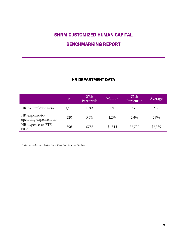# BENCHMARKING REPORT

## HR DEPARTMENT DATA

|                                           | $\mathbf n$ | 25 <sub>th</sub><br>Percentile | Median  | 75th<br>Percentile | Average |
|-------------------------------------------|-------------|--------------------------------|---------|--------------------|---------|
| HR-to-employee ratio                      | 1,401       | 0.99                           | 1.58    | 2.70               | 2.60    |
| HR-expense-to-<br>operating-expense ratio | 220         | $0.6\%$                        | $1.2\%$ | $2.4\%$            | 2.9%    |
| HR-expense-to-FTE<br>ratio                | 396         | \$758                          | \$1,344 | \$2,702            | \$2,389 |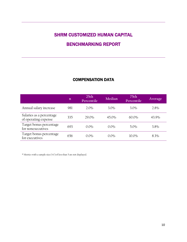# BENCHMARKING REPORT

## COMPENSATION DATA

|                                                  | $\mathbf n$ | 25 <sub>th</sub><br>Percentile | Median  | 75 <sub>th</sub><br>Percentile | Average |
|--------------------------------------------------|-------------|--------------------------------|---------|--------------------------------|---------|
| Annual salary increase                           | 981         | $2.0\%$                        | $3.0\%$ | $3.0\%$                        | 2.8%    |
| Salaries as a percentage<br>of operating expense | 335         | 29.0%                          | 45.0%   | $60.0\%$                       | 43.9%   |
| Target bonus percentage<br>for nonexecutives     | 693         | $0.0\%$                        | 0.0%    | $5.0\%$                        | 3.8%    |
| Target bonus percentage<br>for executives        | 656         | $0.0\%$                        | $0.0\%$ | 10.0%                          | 8.3%    |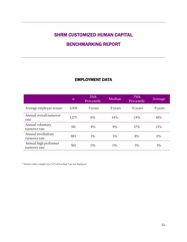# BENCHMARKING REPORT

## EMPLOYMENT DATA

|                                        | $\mathbf n$ | 25 <sub>th</sub><br>Percentile | Median  | 75 <sub>th</sub><br>Percentile | Average |
|----------------------------------------|-------------|--------------------------------|---------|--------------------------------|---------|
| Average employee tenure                | 1,008       | 5 years                        | 8 years | 11 years                       | 8 years |
| Annual overall turnover<br>rate        | 1,175       | $6\%$                          | 14%     | 24%                            | 18%     |
| Annual voluntary<br>turnover rate      | 911         | 4%                             | 9%      | 17%                            | 13%     |
| Annual involuntary<br>turnover rate    | 883         | $1\%$                          | 3%      | 8%                             | $6\%$   |
| Annual high performer<br>turnover rate | 561         | 0%                             | 0%      | 3%                             | 3%      |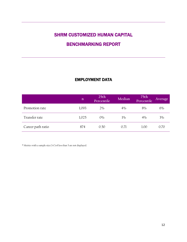# BENCHMARKING REPORT

## EMPLOYMENT DATA

|                   | $\mathbf n$ | 25 <sub>th</sub><br>Percentile | Median | 75th<br>Percentile | Average |
|-------------------|-------------|--------------------------------|--------|--------------------|---------|
| Promotion rate    | 1,093       | 2%                             | 4%     | 8%                 | $6\%$   |
| Transfer rate     | 1,025       | 0%                             | 1%     | 4%                 | 3%      |
| Career path ratio | 874         | 0.50                           | 0.71   | 1.00               | 0.70    |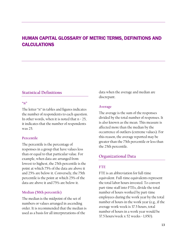# HUMAN CAPITAL GLOSSARY OF METRIC TERMS, DEFINITIONS AND CALCULATIONS

## **Statistical Definitions**

#### **"n"**

The letter "n" in tables and figures indicates the number of respondents to each question. In other words, when it is noted that n = 25, it indicates that the number of respondents was 25.

#### **Percentile**

The percentile is the percentage of responses in a group that have values less than or equal to that particular value. For example, when data are arranged from lowest to highest, the 25th percentile is the point at which 75% of the data are above it and 25% are below it. Conversely, the 75th percentile is the point at which 25% of the data are above it and 75% are below it.

#### **Median (50th percentile)**

The median is the midpoint of the set of numbers or values arranged in ascending order. It is recommended that the median is used as a basis for all interpretations of the

data when the average and median are discrepant.

#### **Average**

The average is the sum of the responses divided by the total number of responses. It is also known as the mean. This measure is affected more than the median by the occurrence of outliers (extreme values). For this reason, the average reported may be greater than the 75th percentile or less than the 25th percentile.

## **Organizational Data**

#### **FTE**

FTE is an abbreviation for full-time equivalent. Full-time equivalents represent the total labor hours invested. To convert part-time staff into FTEs, divide the total number of hours worked by part-time employees during the work year by the total number of hours in the work year (e.g., if the average work week is 37.5 hours, total number of hours in a work year would be 37.5 hours/week x 52 weeks = 1,950).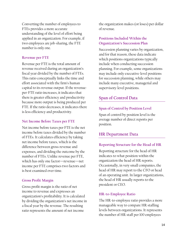Converting the number of employees to FTEs provides a more accurate understanding of the level of effort being applied in an organization. For example, if two employees are job-sharing, the FTE number is only one.

#### **Revenue per FTE**

Revenue per FTE is the total amount of revenue received during an organization's fiscal year divided by the number of FTEs. This ratio conceptually links the time and effort associated with the firm's human capital to its revenue output. If the revenueper-FTE ratio increases, it indicates that there is greater efficiency and productivity because more output is being produced per FTE. If the ratio decreases, it indicates there is less efficiency and productivity.

#### **Net Income Before Taxes per FTE**

Net income before taxes per FTE is the net income before taxes divided by the number of FTEs. It calculates efficiency by taking net income before taxes, which is the difference between gross revenue and expenses, and dividing the outcome by the number of FTEs. Unlike revenue per FTE, which has only one factor—revenue—net income per FTE comprises two factors and is best examined over time.

#### **Gross Profit Margin**

Gross profit margin is the ratio of net income to revenue and expresses an organization's profitability. It is calculated by dividing the organization's net income in a fiscal year by the revenue. The resulting ratio represents the amount of net income

the organization makes (or loses) per dollar of revenue.

## **Positions Included Within the Organization's Succession Plan**

Succession planning varies by organization, and for that reason, these data indicate which positions organizations typically include when conducting succession planning. For example, some organizations may include only executive-level positions for succession planning, while others may include many executive, managerial and supervisory-level positions.

## **Span of Control Data**

## **Span of Control by Position Level**

Span of control by position level is the average number of direct reports per position.

## **HR Department Data**

## **Reporting Structure for the Head of HR**

Reporting structure for the head of HR indicates to what position within the organization the head of HR reports. Occasionally, in very small companies, the head of HR may report to the CFO or head of an operating unit. In larger organizations, the head of HR usually reports to the president or CEO.

## **HR-to-Employee Ratio**

The HR-to-employee ratio provides a more manageable way to compare HR staffing levels between organizations. It represents the number of HR staff per 100 employees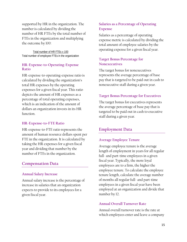supported by HR in the organization. The number is calculated by dividing the number of HR FTEs by the total number of FTEs in the organization and multiplying the outcome by 100:

Total number of HR FTEs x 100 Total number of employee FTEs in the organization

#### **HR-Expense-to-Operating-Expense Ratio**

HR-expense-to-operating-expense ratio is calculated by dividing the organization's total HR expenses by the operating expenses for a given fiscal year. This ratio depicts the amount of HR expenses as a percentage of total operating expenses, which is an indication of the amount of dollars an organization invests in its HR function.

#### **HR-Expense-to-FTE Ratio**

HR-expense-to-FTE ratio represents the amount of human resource dollars spent per FTE in the organization. It is calculated by taking the HR expenses for a given fiscal year and dividing that number by the number of FTEs in the organization.

## **Compensation Data**

#### **Annual Salary Increase**

Annual salary increase is the percentage of increase in salaries that an organization expects to provide to its employees for a given fiscal year.

## **Salaries as a Percentage of Operating Expense**

Salaries as a percentage of operating expense metric is calculated by dividing the total amount of employee salaries by the operating expense for a given fiscal year.

## **Target Bonus Percentage for Nonexecutives**

The target bonus for nonexecutives represents the average percentage of base pay that is targeted to be paid out in cash to nonexecutive staff during a given year.

#### **Target Bonus Percentage for Executives**

The target bonus for executives represents the average percentage of base pay that is targeted to be paid out in cash to executive staff during a given year.

## **Employment Data**

#### **Average Employee Tenure**

Average employee tenure is the average length of employment in years for all regular full- and part-time employees in a given fiscal year. Typically, the more loyal employees are to a firm, the higher the employee tenure. To calculate the employee tenure length, calculate the average number of months all regular full- and part-time employees in a given fiscal year have been employed at an organization and divide that number by 12.

#### **Annual Overall Turnover Rate**

Annual overall turnover rate is the rate at which employees enter and leave a company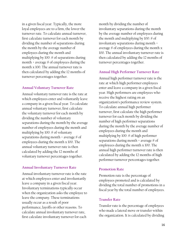in a given fiscal year. Typically, the more loyal employees are to a firm, the lower the turnover rate. To calculate annual turnover, first calculate turnover for each month by dividing the number of separations during the month by the average number of employees during the month and multiplying by 100:  $\#$  of separations during month ÷ average  $\#$  of employees during the month x 100. The annual turnover rate is then calculated by adding the 12 months of turnover percentages together.

#### **Annual Voluntary Turnover Rate**

Annual voluntary turnover rate is the rate at which employees enter and voluntarily leave a company in a given fiscal year. To calculate annual voluntary turnover, first calculate the voluntary turnover for each month by dividing the number of voluntary separations during the month by the average number of employees during the month and multiplying by 100:  $\#$  of voluntary separations during month  $\div$  average  $\#$  of employees during the month x 100. The annual voluntary turnover rate is then calculated by adding the 12 months of voluntary turnover percentages together.

## **Annual Involuntary Turnover Rate**

Annual involuntary turnover rate is the rate at which employees enter and involuntarily leave a company in a given fiscal year. Involuntary terminations typically occur when the organization asks the employee to leave the company. These terminations usually occur as a result of poor performance, layoffs or other reasons. To calculate annual involuntary turnover rate, first calculate involuntary turnover for each

month by dividing the number of involuntary separations during the month by the average number of employees during the month and multiplying by 100:  $\#$  of involuntary separations during month ÷ average  $\#$  of employees during the month x 100. The annual involuntary turnover rate is then calculated by adding the 12 months of turnover percentages together.

## **Annual High Performer Turnover Rate**

Annual high performer turnover rate is the rate at which high performer employees enter and leave a company in a given fiscal year. High performers are employees who receive the highest rating on an organization's performance review system. To calculate annual high performer turnover, first calculate the high performer turnover for each month by dividing the number of high performer separations during the month by the average number of employees during the month and multiplying by 100: # of high performer separations during month  $\div$  average  $\#$  of employees during the month x 100. The annual high performer turnover rate is then calculated by adding the 12 months of high performer turnover percentages together.

#### **Promotion Rate**

Promotion rate is the percentage of employees promoted and is calculated by dividing the total number of promotions in a fiscal year by the total number of employees.

#### **Transfer Rate**

Transfer rate is the percentage of employees who made a lateral move or transfer within the organization. It is calculated by dividing